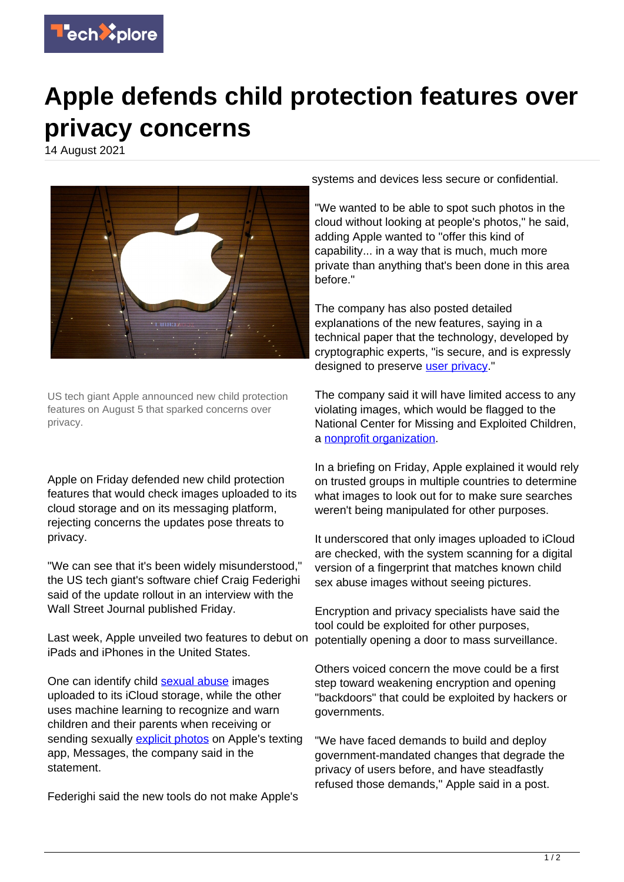

## **Apple defends child protection features over privacy concerns**

14 August 2021



US tech giant Apple announced new child protection features on August 5 that sparked concerns over privacy.

Apple on Friday defended new child protection features that would check images uploaded to its cloud storage and on its messaging platform, rejecting concerns the updates pose threats to privacy.

"We can see that it's been widely misunderstood," the US tech giant's software chief Craig Federighi said of the update rollout in an interview with the Wall Street Journal published Friday.

Last week, Apple unveiled two features to debut on iPads and iPhones in the United States.

One can identify child [sexual abuse](https://techxplore.com/tags/sexual+abuse/) images uploaded to its iCloud storage, while the other uses machine learning to recognize and warn children and their parents when receiving or sending sexually [explicit photos](https://techxplore.com/tags/explicit+photos/) on Apple's texting app, Messages, the company said in the statement.

Federighi said the new tools do not make Apple's

systems and devices less secure or confidential.

"We wanted to be able to spot such photos in the cloud without looking at people's photos," he said, adding Apple wanted to "offer this kind of capability... in a way that is much, much more private than anything that's been done in this area before."

The company has also posted detailed explanations of the new features, saying in a technical paper that the technology, developed by cryptographic experts, "is secure, and is expressly designed to preserve [user privacy.](https://techxplore.com/tags/user+privacy/)"

The company said it will have limited access to any violating images, which would be flagged to the National Center for Missing and Exploited Children, a [nonprofit organization](https://techxplore.com/tags/nonprofit+organization/).

In a briefing on Friday, Apple explained it would rely on trusted groups in multiple countries to determine what images to look out for to make sure searches weren't being manipulated for other purposes.

It underscored that only images uploaded to iCloud are checked, with the system scanning for a digital version of a fingerprint that matches known child sex abuse images without seeing pictures.

Encryption and privacy specialists have said the tool could be exploited for other purposes, potentially opening a door to mass surveillance.

Others voiced concern the move could be a first step toward weakening encryption and opening "backdoors" that could be exploited by hackers or governments.

"We have faced demands to build and deploy government-mandated changes that degrade the privacy of users before, and have steadfastly refused those demands," Apple said in a post.